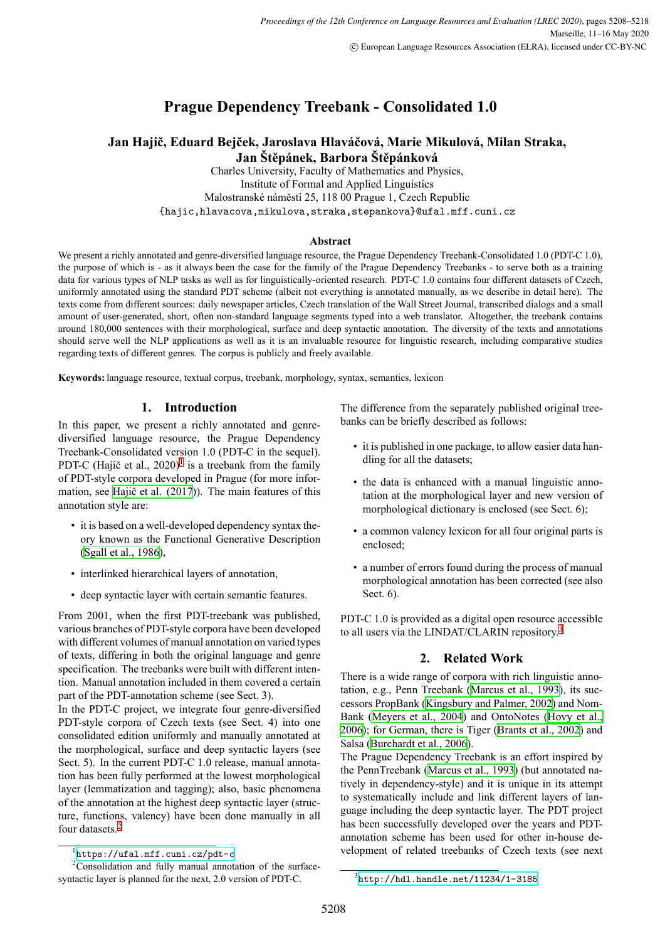# **Prague Dependency Treebank - Consolidated 1.0**

# **Jan Hajič, Eduard Bejček, Jaroslava Hlaváčová, Marie Mikulová, Milan Straka, Jan Štěpánek, Barbora Štěpánková**

Charles University, Faculty of Mathematics and Physics, Institute of Formal and Applied Linguistics Malostranské náměstí 25, 118 00 Prague 1, Czech Republic {hajic,hlavacova,mikulova,straka,stepankova}@ufal.mff.cuni.cz

### **Abstract**

We present a richly annotated and genre-diversified language resource, the Prague Dependency Treebank-Consolidated 1.0 (PDT-C 1.0), the purpose of which is - as it always been the case for the family of the Prague Dependency Treebanks - to serve both as a training data for various types of NLP tasks as well as for linguistically-oriented research. PDT-C 1.0 contains four different datasets of Czech, uniformly annotated using the standard PDT scheme (albeit not everything is annotated manually, as we describe in detail here). The texts come from different sources: daily newspaper articles, Czech translation of the Wall Street Journal, transcribed dialogs and a small amount of user-generated, short, often non-standard language segments typed into a web translator. Altogether, the treebank contains around 180,000 sentences with their morphological, surface and deep syntactic annotation. The diversity of the texts and annotations should serve well the NLP applications as well as it is an invaluable resource for linguistic research, including comparative studies regarding texts of different genres. The corpus is publicly and freely available.

**Keywords:** language resource, textual corpus, treebank, morphology, syntax, semantics, lexicon

# **1. Introduction**

In this paper, we present a richly annotated and genrediversified language resource, the Prague Dependency Treebank-Consolidated version 1.0 (PDT-C in the sequel). PDT-C (Hajič et al.,  $2020$ )<sup>[1](#page-0-0)</sup> is a treebank from the family of PDT-style corpora developed in Prague (for more information, see [Hajič et al. \(2017\)](#page-8-0)). The main features of this annotation style are:

- it is based on a well-developed dependency syntax theory known as the Functional Generative Description [\(Sgall et al., 1986\)](#page-9-0),
- interlinked hierarchical layers of annotation,
- deep syntactic layer with certain semantic features.

From 2001, when the first PDT-treebank was published, various branches of PDT-style corpora have been developed with different volumes of manual annotation on varied types of texts, differing in both the original language and genre specification. The treebanks were built with different intention. Manual annotation included in them covered a certain part of the PDT-annotation scheme (see Sect. 3).

In the PDT-C project, we integrate four genre-diversified PDT-style corpora of Czech texts (see Sect. 4) into one consolidated edition uniformly and manually annotated at the morphological, surface and deep syntactic layers (see Sect. 5). In the current PDT-C 1.0 release, manual annotation has been fully performed at the lowest morphological layer (lemmatization and tagging); also, basic phenomena of the annotation at the highest deep syntactic layer (structure, functions, valency) have been done manually in all four datasets.[2](#page-0-1)

The difference from the separately published original treebanks can be briefly described as follows:

- it is published in one package, to allow easier data handling for all the datasets;
- the data is enhanced with a manual linguistic annotation at the morphological layer and new version of morphological dictionary is enclosed (see Sect. 6);
- a common valency lexicon for all four original parts is enclosed;
- a number of errors found during the process of manual morphological annotation has been corrected (see also Sect. 6).

PDT-C 1.0 is provided as a digital open resource accessible to all users via the LINDAT/CLARIN repository.<sup>[3](#page-0-2)</sup>

# **2. Related Work**

There is a wide range of corpora with rich linguistic annotation, e.g., Penn Treebank [\(Marcus et al., 1993\)](#page-8-1), its successors PropBank [\(Kingsbury and Palmer, 2002](#page-8-2)) and Nom-Bank [\(Meyers et al., 2004](#page-8-3)) and OntoNotes [\(Hovy et al.,](#page-8-4) [2006\)](#page-8-4); for German, there is Tiger [\(Brants et al., 2002](#page-8-5)) and Salsa([Burchardt et al., 2006](#page-8-6)).

The Prague Dependency Treebank is an effort inspired by the PennTreebank [\(Marcus et al., 1993\)](#page-8-1) (but annotated natively in dependency-style) and it is unique in its attempt to systematically include and link different layers of language including the deep syntactic layer. The PDT project has been successfully developed over the years and PDTannotation scheme has been used for other in-house development of related treebanks of Czech texts (see next

<span id="page-0-1"></span><span id="page-0-0"></span><sup>1</sup> <https://ufal.mff.cuni.cz/pdt-c>

<sup>&</sup>lt;sup>2</sup>Consolidation and fully manual annotation of the surfacesyntactic layer is planned for the next, 2.0 version of PDT-C.

<span id="page-0-2"></span> $^3$ <http://hdl.handle.net/11234/1-3185>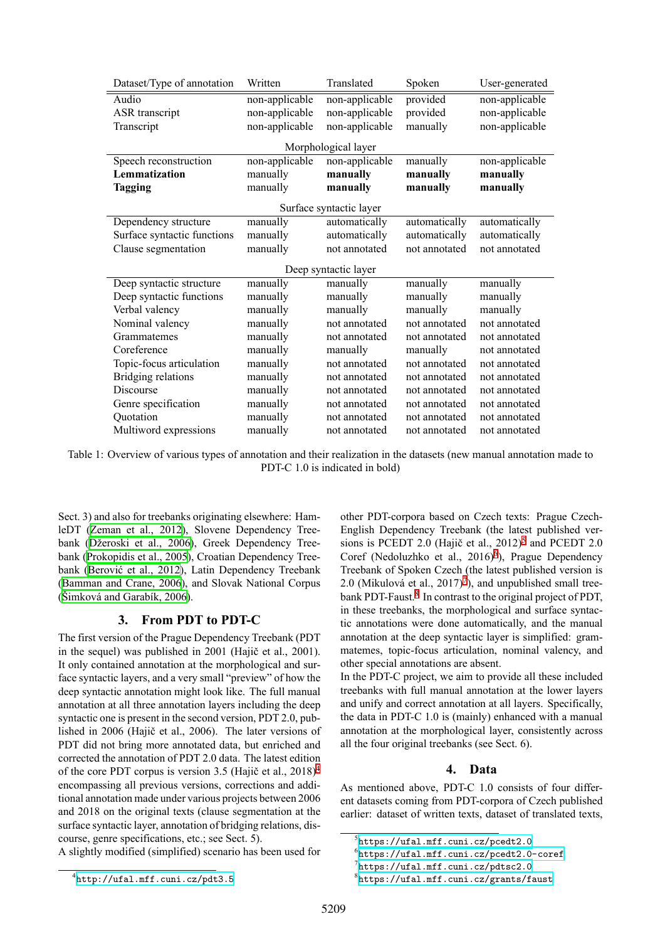<span id="page-1-5"></span>

| Dataset/Type of annotation  | Written        | Translated          | Spoken        | User-generated |  |
|-----------------------------|----------------|---------------------|---------------|----------------|--|
| Audio                       | non-applicable | non-applicable      | provided      | non-applicable |  |
| ASR transcript              | non-applicable | non-applicable      | provided      | non-applicable |  |
| Transcript                  | non-applicable | non-applicable      | manually      | non-applicable |  |
|                             |                | Morphological layer |               |                |  |
| Speech reconstruction       | non-applicable | non-applicable      | manually      | non-applicable |  |
| Lemmatization               | manually       | manually            | manually      | manually       |  |
| <b>Tagging</b>              | manually       | manually            | manually      | manually       |  |
| Surface syntactic layer     |                |                     |               |                |  |
| Dependency structure        | manually       | automatically       | automatically | automatically  |  |
| Surface syntactic functions | manually       | automatically       | automatically | automatically  |  |
| Clause segmentation         | manually       | not annotated       | not annotated | not annotated  |  |
| Deep syntactic layer        |                |                     |               |                |  |
| Deep syntactic structure    | manually       | manually            | manually      | manually       |  |
| Deep syntactic functions    | manually       | manually            | manually      | manually       |  |
| Verbal valency              | manually       | manually            | manually      | manually       |  |
| Nominal valency             | manually       | not annotated       | not annotated | not annotated  |  |
| Grammatemes                 | manually       | not annotated       | not annotated | not annotated  |  |
| Coreference                 | manually       | manually            | manually      | not annotated  |  |
| Topic-focus articulation    | manually       | not annotated       | not annotated | not annotated  |  |
| Bridging relations          | manually       | not annotated       | not annotated | not annotated  |  |
| Discourse                   | manually       | not annotated       | not annotated | not annotated  |  |
| Genre specification         | manually       | not annotated       | not annotated | not annotated  |  |
| Quotation                   | manually       | not annotated       | not annotated | not annotated  |  |
| Multiword expressions       | manually       | not annotated       | not annotated | not annotated  |  |

Table 1: Overview of various types of annotation and their realization in the datasets (new manual annotation made to PDT-C 1.0 is indicated in bold)

Sect. 3) and also for treebanks originating elsewhere: HamleDT([Zeman et al., 2012\)](#page-9-1), Slovene Dependency Treebank([Džeroski et al., 2006](#page-8-7)), Greek Dependency Treebank [\(Prokopidis et al., 2005\)](#page-9-2), Croatian Dependency Treebank([Berović et al., 2012](#page-8-8)), Latin Dependency Treebank [\(Bamman and Crane, 2006](#page-8-9)), and Slovak National Corpus [\(Šimková and Garabík, 2006](#page-9-3)).

#### **3. From PDT to PDT-C**

The first version of the Prague Dependency Treebank (PDT in the sequel) was published in 2001 (Hajič et al., 2001). It only contained annotation at the morphological and surface syntactic layers, and a very small "preview" of how the deep syntactic annotation might look like. The full manual annotation at all three annotation layers including the deep syntactic one is present in the second version, PDT 2.0, published in 2006 (Hajič et al., 2006). The later versions of PDT did not bring more annotated data, but enriched and corrected the annotation of PDT 2.0 data. The latest edition of the core PDT corpus is version 3.5 (Hajič et al., 2018)[4](#page-1-0) encompassing all previous versions, corrections and additional annotation made under various projects between 2006 and 2018 on the original texts (clause segmentation at the surface syntactic layer, annotation of bridging relations, discourse, genre specifications, etc.; see Sect. 5).

A slightly modified (simplified) scenario has been used for

<span id="page-1-0"></span>4 <http://ufal.mff.cuni.cz/pdt3.5>

other PDT-corpora based on Czech texts: Prague Czech-English Dependency Treebank (the latest published versions is PCEDT 2.0 (Hajič et al.,  $2012$ )<sup>[5](#page-1-1)</sup> and PCEDT 2.0 Coref (Nedoluzhko et al., 201[6](#page-1-2))<sup>6</sup>), Prague Dependency Treebank of Spoken Czech (the latest published version is 2.0 (Mikulová et al.,  $2017$  $2017$ )<sup>7</sup>), and unpublished small tree-bank PDT-Faust.<sup>[8](#page-1-4)</sup> In contrast to the original project of PDT, in these treebanks, the morphological and surface syntactic annotations were done automatically, and the manual annotation at the deep syntactic layer is simplified: grammatemes, topic-focus articulation, nominal valency, and other special annotations are absent.

In the PDT-C project, we aim to provide all these included treebanks with full manual annotation at the lower layers and unify and correct annotation at all layers. Specifically, the data in PDT-C 1.0 is (mainly) enhanced with a manual annotation at the morphological layer, consistently across all the four original treebanks (see Sect. 6).

#### **4. Data**

As mentioned above, PDT-C 1.0 consists of four different datasets coming from PDT-corpora of Czech published earlier: dataset of written texts, dataset of translated texts,

<span id="page-1-1"></span><sup>5</sup> <https://ufal.mff.cuni.cz/pcedt2.0>

<span id="page-1-2"></span> $^6$ <https://ufal.mff.cuni.cz/pcedt2.0-coref>

<span id="page-1-3"></span> $^{7}$ <https://ufal.mff.cuni.cz/pdtsc2.0>

<span id="page-1-4"></span><sup>8</sup> <https://ufal.mff.cuni.cz/grants/faust>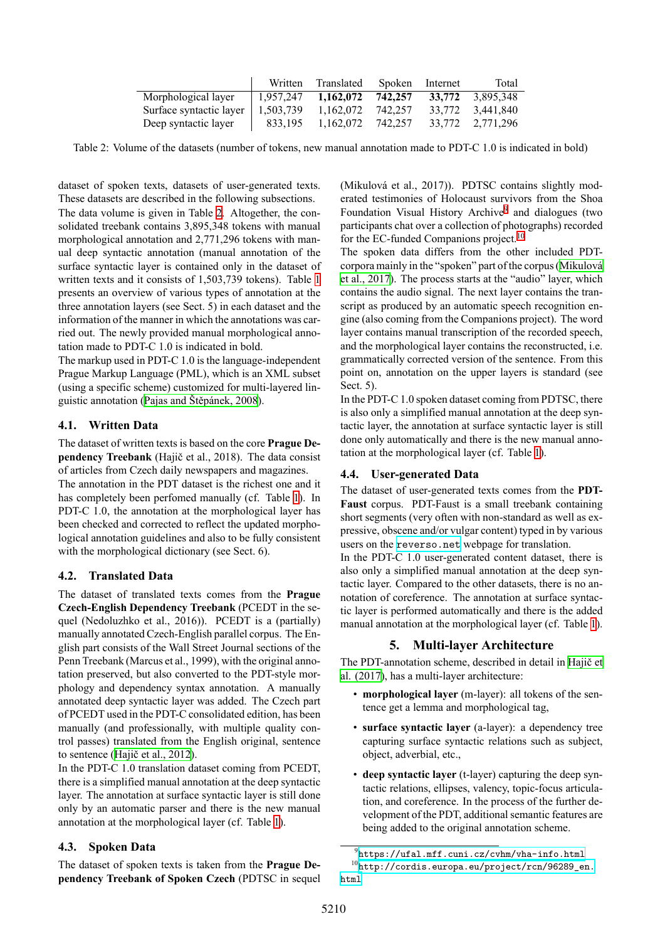|                         | Written   | Translated | Spoken  | Internet | Total            |
|-------------------------|-----------|------------|---------|----------|------------------|
| Morphological layer     | 1.957.247 | 1,162,072  | 742.257 | 33,772   | 3.895.348        |
| Surface syntactic layer | 1,503,739 | 1,162,072  | 742.257 | 33.772   | 3.441.840        |
| Deep syntactic layer    | 833.195   | 1,162,072  | 742.257 |          | 33,772 2,771,296 |

<span id="page-2-0"></span>Table 2: Volume of the datasets (number of tokens, new manual annotation made to PDT-C 1.0 is indicated in bold)

dataset of spoken texts, datasets of user-generated texts. These datasets are described in the following subsections. The data volume is given in Table [2.](#page-2-0) Altogether, the consolidated treebank contains 3,895,348 tokens with manual morphological annotation and 2,771,296 tokens with manual deep syntactic annotation (manual annotation of the surface syntactic layer is contained only in the dataset of written texts and it consists of 1,503,739 tokens). Table [1](#page-1-5) presents an overview of various types of annotation at the three annotation layers (see Sect. 5) in each dataset and the information of the manner in which the annotations was carried out. The newly provided manual morphological annotation made to PDT-C 1.0 is indicated in bold.

The markup used in PDT-C 1.0 is the language-independent Prague Markup Language (PML), which is an XML subset (using a specific scheme) customized for multi-layered linguistic annotation [\(Pajas and Štěpánek, 2008\)](#page-9-4).

# **4.1. Written Data**

The dataset of written texts is based on the core **Prague Dependency Treebank** (Hajič et al., 2018). The data consist of articles from Czech daily newspapers and magazines. The annotation in the PDT dataset is the richest one and it has completely been perfomed manually (cf. Table [1\)](#page-1-5). In PDT-C 1.0, the annotation at the morphological layer has been checked and corrected to reflect the updated morphological annotation guidelines and also to be fully consistent with the morphological dictionary (see Sect. 6).

# **4.2. Translated Data**

The dataset of translated texts comes from the **Prague Czech-English Dependency Treebank** (PCEDT in the sequel (Nedoluzhko et al., 2016)). PCEDT is a (partially) manually annotated Czech-English parallel corpus. The English part consists of the Wall Street Journal sections of the Penn Treebank (Marcus et al., 1999), with the original annotation preserved, but also converted to the PDT-style morphology and dependency syntax annotation. A manually annotated deep syntactic layer was added. The Czech part of PCEDT used in the PDT-C consolidated edition, has been manually (and professionally, with multiple quality control passes) translated from the English original, sentence to sentence([Hajič et al., 2012\)](#page-8-10).

In the PDT-C 1.0 translation dataset coming from PCEDT, there is a simplified manual annotation at the deep syntactic layer. The annotation at surface syntactic layer is still done only by an automatic parser and there is the new manual annotation at the morphological layer (cf. Table [1](#page-1-5)).

# **4.3. Spoken Data**

The dataset of spoken texts is taken from the **Prague Dependency Treebank of Spoken Czech** (PDTSC in sequel (Mikulová et al., 2017)). PDTSC contains slightly moderated testimonies of Holocaust survivors from the Shoa Foundation Visual History Archive<sup>[9](#page-2-1)</sup> and dialogues (two participants chat over a collection of photographs) recorded for the EC-funded Companions project.<sup>[10](#page-2-2)</sup>

The spoken data differs from the other included PDTcorpora mainly in the "spoken" part of the corpus([Mikulová](#page-9-5) [et al., 2017](#page-9-5)). The process starts at the "audio" layer, which contains the audio signal. The next layer contains the transcript as produced by an automatic speech recognition engine (also coming from the Companions project). The word layer contains manual transcription of the recorded speech, and the morphological layer contains the reconstructed, i.e. grammatically corrected version of the sentence. From this point on, annotation on the upper layers is standard (see Sect. 5).

In the PDT-C 1.0 spoken dataset coming from PDTSC, there is also only a simplified manual annotation at the deep syntactic layer, the annotation at surface syntactic layer is still done only automatically and there is the new manual annotation at the morphological layer (cf. Table [1\)](#page-1-5).

# **4.4. User-generated Data**

The dataset of user-generated texts comes from the **PDT-Faust** corpus. PDT-Faust is a small treebank containing short segments (very often with non-standard as well as expressive, obscene and/or vulgar content) typed in by various users on the <reverso.net> webpage for translation.

In the PDT-C 1.0 user-generated content dataset, there is also only a simplified manual annotation at the deep syntactic layer. Compared to the other datasets, there is no annotation of coreference. The annotation at surface syntactic layer is performed automatically and there is the added manual annotation at the morphological layer (cf. Table [1\)](#page-1-5).

# **5. Multi-layer Architecture**

The PDT-annotation scheme, described in detail in [Hajič et](#page-8-0) [al. \(2017](#page-8-0)), has a multi-layer architecture:

- **morphological layer** (m-layer): all tokens of the sentence get a lemma and morphological tag,
- **surface syntactic layer** (a-layer): a dependency tree capturing surface syntactic relations such as subject, object, adverbial, etc.,
- **deep syntactic layer** (t-layer) capturing the deep syntactic relations, ellipses, valency, topic-focus articulation, and coreference. In the process of the further development of the PDT, additional semantic features are being added to the original annotation scheme.

<span id="page-2-2"></span><span id="page-2-1"></span><sup>9</sup> <https://ufal.mff.cuni.cz/cvhm/vha-info.html> <sup>10</sup>[http://cordis.europa.eu/project/rcn/96289\\_en.](http://cordis.europa.eu/project/rcn/96289_en.html) [html](http://cordis.europa.eu/project/rcn/96289_en.html)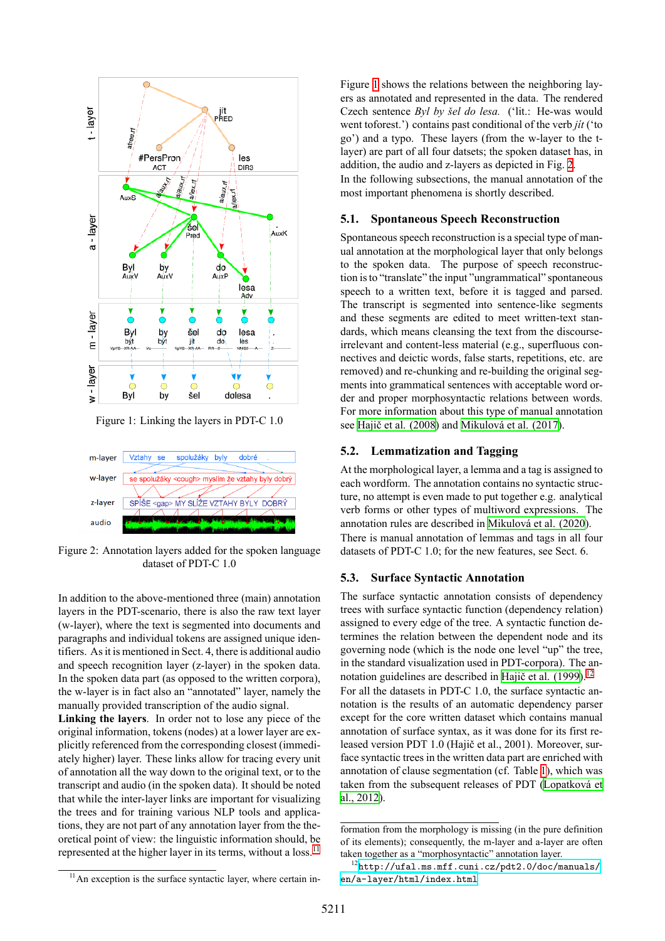<span id="page-3-1"></span>

Figure 1: Linking the layers in PDT-C 1.0

<span id="page-3-2"></span>

Figure 2: Annotation layers added for the spoken language dataset of PDT-C 1.0

In addition to the above-mentioned three (main) annotation layers in the PDT-scenario, there is also the raw text layer (w-layer), where the text is segmented into documents and paragraphs and individual tokens are assigned unique identifiers. As it is mentioned in Sect. 4, there is additional audio and speech recognition layer (z-layer) in the spoken data. In the spoken data part (as opposed to the written corpora), the w-layer is in fact also an "annotated" layer, namely the manually provided transcription of the audio signal.

**Linking the layers**. In order not to lose any piece of the original information, tokens (nodes) at a lower layer are explicitly referenced from the corresponding closest (immediately higher) layer. These links allow for tracing every unit of annotation all the way down to the original text, or to the transcript and audio (in the spoken data). It should be noted that while the inter-layer links are important for visualizing the trees and for training various NLP tools and applications, they are not part of any annotation layer from the theoretical point of view: the linguistic information should, be represented at the higher layer in its terms, without a loss.<sup>[11](#page-3-0)</sup>

Figure [1](#page-3-1) shows the relations between the neighboring layers as annotated and represented in the data. The rendered Czech sentence *Byl by šel do lesa.* ('lit.: He-was would went toforest.') contains past conditional of the verb *jít* ('to go') and a typo. These layers (from the w-layer to the tlayer) are part of all four datsets; the spoken dataset has, in addition, the audio and z-layers as depicted in Fig. [2](#page-3-2). In the following subsections, the manual annotation of the most important phenomena is shortly described.

#### **5.1. Spontaneous Speech Reconstruction**

Spontaneous speech reconstruction is a special type of manual annotation at the morphological layer that only belongs to the spoken data. The purpose of speech reconstruction is to "translate" the input "ungrammatical" spontaneous speech to a written text, before it is tagged and parsed. The transcript is segmented into sentence-like segments and these segments are edited to meet written-text standards, which means cleansing the text from the discourseirrelevant and content-less material (e.g., superfluous connectives and deictic words, false starts, repetitions, etc. are removed) and re-chunking and re-building the original segments into grammatical sentences with acceptable word order and proper morphosyntactic relations between words. For more information about this type of manual annotation see [Hajič et al. \(2008](#page-8-11)) and [Mikulová et al. \(2017\)](#page-9-5).

#### **5.2. Lemmatization and Tagging**

At the morphological layer, a lemma and a tag is assigned to each wordform. The annotation contains no syntactic structure, no attempt is even made to put together e.g. analytical verb forms or other types of multiword expressions. The annotation rules are described in [Mikulová et al. \(2020\)](#page-9-6). There is manual annotation of lemmas and tags in all four datasets of PDT-C 1.0; for the new features, see Sect. 6.

#### **5.3. Surface Syntactic Annotation**

The surface syntactic annotation consists of dependency trees with surface syntactic function (dependency relation) assigned to every edge of the tree. A syntactic function determines the relation between the dependent node and its governing node (which is the node one level "up" the tree, in the standard visualization used in PDT-corpora). The an-notation guidelines are described in [Hajič et al. \(1999\)](#page-8-12).<sup>[12](#page-3-3)</sup> For all the datasets in PDT-C 1.0, the surface syntactic annotation is the results of an automatic dependency parser except for the core written dataset which contains manual annotation of surface syntax, as it was done for its first released version PDT 1.0 (Hajič et al., 2001). Moreover, surface syntactic trees in the written data part are enriched with annotation of clause segmentation (cf. Table [1](#page-1-5)), which was taken from the subsequent releases of PDT([Lopatková et](#page-8-13) [al., 2012](#page-8-13)).

<span id="page-3-3"></span>formation from the morphology is missing (in the pure definition of its elements); consequently, the m-layer and a-layer are often taken together as a "morphosyntactic" annotation layer.

<span id="page-3-0"></span><sup>&</sup>lt;sup>11</sup>An exception is the surface syntactic layer, where certain in-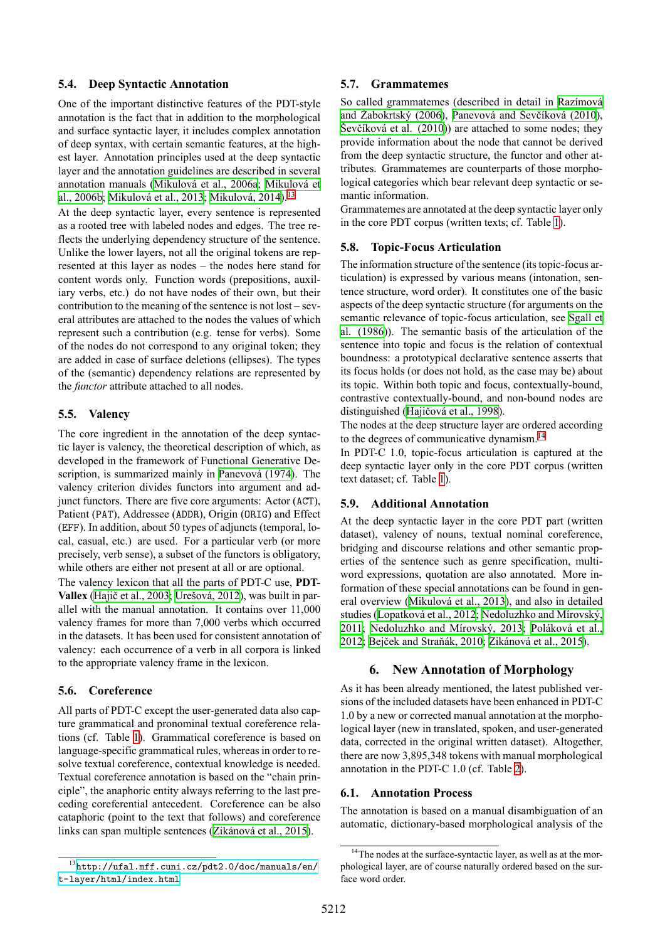#### **5.4. Deep Syntactic Annotation**

One of the important distinctive features of the PDT-style annotation is the fact that in addition to the morphological and surface syntactic layer, it includes complex annotation of deep syntax, with certain semantic features, at the highest layer. Annotation principles used at the deep syntactic layer and the annotation guidelines are described in several annotation manuals([Mikulová et al., 2006a;](#page-8-14) [Mikulová et](#page-8-15) [al., 2006b;](#page-8-15) [Mikulová et al., 2013](#page-9-7); [Mikulová, 2014](#page-9-8)).[13](#page-4-0)

At the deep syntactic layer, every sentence is represented as a rooted tree with labeled nodes and edges. The tree reflects the underlying dependency structure of the sentence. Unlike the lower layers, not all the original tokens are represented at this layer as nodes – the nodes here stand for content words only. Function words (prepositions, auxiliary verbs, etc.) do not have nodes of their own, but their contribution to the meaning of the sentence is not lost – several attributes are attached to the nodes the values of which represent such a contribution (e.g. tense for verbs). Some of the nodes do not correspond to any original token; they are added in case of surface deletions (ellipses). The types of the (semantic) dependency relations are represented by the *functor* attribute attached to all nodes.

#### **5.5. Valency**

The core ingredient in the annotation of the deep syntactic layer is valency, the theoretical description of which, as developed in the framework of Functional Generative Description, is summarized mainly in [Panevová \(1974\)](#page-9-9). The valency criterion divides functors into argument and adjunct functors. There are five core arguments: Actor (ACT), Patient (PAT), Addressee (ADDR), Origin (ORIG) and Effect (EFF). In addition, about 50 types of adjuncts (temporal, local, casual, etc.) are used. For a particular verb (or more precisely, verb sense), a subset of the functors is obligatory, while others are either not present at all or are optional.

The valency lexicon that all the parts of PDT-C use, **PDT-Vallex** ([Hajič et al., 2003;](#page-8-16) [Urešová, 2012\)](#page-9-10), was built in parallel with the manual annotation. It contains over 11,000 valency frames for more than 7,000 verbs which occurred in the datasets. It has been used for consistent annotation of valency: each occurrence of a verb in all corpora is linked to the appropriate valency frame in the lexicon.

#### **5.6. Coreference**

All parts of PDT-C except the user-generated data also capture grammatical and pronominal textual coreference relations (cf. Table [1](#page-1-5)). Grammatical coreference is based on language-specific grammatical rules, whereas in order to resolve textual coreference, contextual knowledge is needed. Textual coreference annotation is based on the "chain principle", the anaphoric entity always referring to the last preceding coreferential antecedent. Coreference can be also cataphoric (point to the text that follows) and coreference links can span multiple sentences([Zikánová et al., 2015](#page-10-0)).

#### **5.7. Grammatemes**

So called grammatemes (described in detail in [Razímová](#page-9-11) [and Žabokrtský \(2006](#page-9-11)), [Panevová and Ševčíková \(2010\)](#page-9-12), [Ševčíková et al. \(2010](#page-9-13))) are attached to some nodes; they provide information about the node that cannot be derived from the deep syntactic structure, the functor and other attributes. Grammatemes are counterparts of those morphological categories which bear relevant deep syntactic or semantic information.

Grammatemes are annotated at the deep syntactic layer only in the core PDT corpus (written texts; cf. Table [1\)](#page-1-5).

#### **5.8. Topic-Focus Articulation**

The information structure of the sentence (its topic-focus articulation) is expressed by various means (intonation, sentence structure, word order). It constitutes one of the basic aspects of the deep syntactic structure (for arguments on the semantic relevance of topic-focus articulation, see [Sgall et](#page-9-0) [al. \(1986\)](#page-9-0)). The semantic basis of the articulation of the sentence into topic and focus is the relation of contextual boundness: a prototypical declarative sentence asserts that its focus holds (or does not hold, as the case may be) about its topic. Within both topic and focus, contextually-bound, contrastive contextually-bound, and non-bound nodes are distinguished([Hajičová et al., 1998\)](#page-8-17).

The nodes at the deep structure layer are ordered according to the degrees of communicative dynamism.<sup>[14](#page-4-1)</sup>

In PDT-C 1.0, topic-focus articulation is captured at the deep syntactic layer only in the core PDT corpus (written text dataset; cf. Table [1](#page-1-5)).

#### **5.9. Additional Annotation**

At the deep syntactic layer in the core PDT part (written dataset), valency of nouns, textual nominal coreference, bridging and discourse relations and other semantic properties of the sentence such as genre specification, multiword expressions, quotation are also annotated. More information of these special annotations can be found in general overview([Mikulová et al., 2013\)](#page-9-7), and also in detailed studies([Lopatková et al., 2012](#page-8-13); [Nedoluzhko and Mírovský,](#page-9-14) [2011](#page-9-14); [Nedoluzhko and Mírovský, 2013](#page-9-15); [Poláková et al.,](#page-9-16) [2012;](#page-9-16) [Bejček and Straňák, 2010](#page-8-18); [Zikánová et al., 2015](#page-10-0)).

#### **6. New Annotation of Morphology**

As it has been already mentioned, the latest published versions of the included datasets have been enhanced in PDT-C 1.0 by a new or corrected manual annotation at the morphological layer (new in translated, spoken, and user-generated data, corrected in the original written dataset). Altogether, there are now 3,895,348 tokens with manual morphological annotation in the PDT-C 1.0 (cf. Table [2\)](#page-2-0).

#### **6.1. Annotation Process**

The annotation is based on a manual disambiguation of an automatic, dictionary-based morphological analysis of the

<span id="page-4-0"></span><sup>13</sup>[http://ufal.mff.cuni.cz/pdt2.0/doc/manuals/en/](http://ufal.mff.cuni.cz/pdt2.0/doc/manuals/en/t-layer/html/index.html) [t-layer/html/index.html](http://ufal.mff.cuni.cz/pdt2.0/doc/manuals/en/t-layer/html/index.html)

<span id="page-4-1"></span><sup>&</sup>lt;sup>14</sup>The nodes at the surface-syntactic layer, as well as at the morphological layer, are of course naturally ordered based on the surface word order.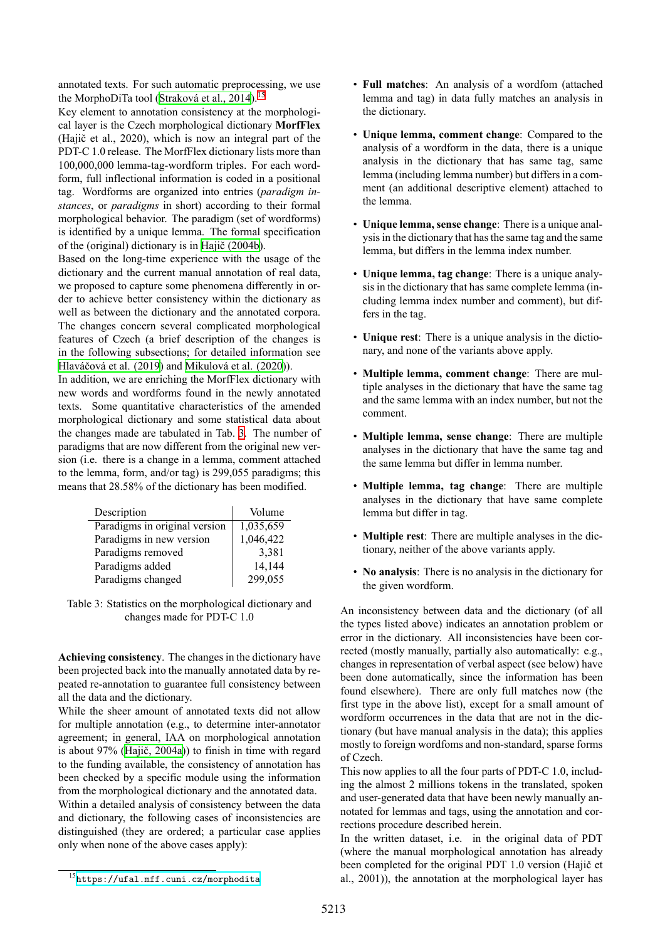annotated texts. For such automatic preprocessing, we use the MorphoDiTa tool [\(Straková et al., 2014\)](#page-9-17).<sup>[15](#page-5-0)</sup>

Key element to annotation consistency at the morphological layer is the Czech morphological dictionary **MorfFlex** (Hajič et al., 2020), which is now an integral part of the PDT-C 1.0 release. The MorfFlex dictionary lists more than 100,000,000 lemma-tag-wordform triples. For each wordform, full inflectional information is coded in a positional tag. Wordforms are organized into entries (*paradigm instances*, or *paradigms* in short) according to their formal morphological behavior. The paradigm (set of wordforms) is identified by a unique lemma. The formal specification of the (original) dictionary is in [Hajič \(2004b](#page-8-19)).

Based on the long-time experience with the usage of the dictionary and the current manual annotation of real data, we proposed to capture some phenomena differently in order to achieve better consistency within the dictionary as well as between the dictionary and the annotated corpora. The changes concern several complicated morphological features of Czech (a brief description of the changes is in the following subsections; for detailed information see [Hlaváčová et al. \(2019](#page-8-20)) and [Mikulová et al. \(2020](#page-9-6))).

In addition, we are enriching the MorfFlex dictionary with new words and wordforms found in the newly annotated texts. Some quantitative characteristics of the amended morphological dictionary and some statistical data about the changes made are tabulated in Tab. [3.](#page-5-1) The number of paradigms that are now different from the original new version (i.e. there is a change in a lemma, comment attached to the lemma, form, and/or tag) is 299,055 paradigms; this means that 28.58% of the dictionary has been modified.

<span id="page-5-1"></span>

| Description                   | Volume    |
|-------------------------------|-----------|
| Paradigms in original version | 1,035,659 |
| Paradigms in new version      | 1,046,422 |
| Paradigms removed             | 3,381     |
| Paradigms added               | 14,144    |
| Paradigms changed             | 299,055   |

Table 3: Statistics on the morphological dictionary and changes made for PDT-C 1.0

**Achieving consistency**. The changes in the dictionary have been projected back into the manually annotated data by repeated re-annotation to guarantee full consistency between all the data and the dictionary.

While the sheer amount of annotated texts did not allow for multiple annotation (e.g., to determine inter-annotator agreement; in general, IAA on morphological annotation is about 97%([Hajič, 2004a](#page-8-21))) to finish in time with regard to the funding available, the consistency of annotation has been checked by a specific module using the information from the morphological dictionary and the annotated data. Within a detailed analysis of consistency between the data

and dictionary, the following cases of inconsistencies are distinguished (they are ordered; a particular case applies only when none of the above cases apply):

- **Full matches**: An analysis of a wordfom (attached lemma and tag) in data fully matches an analysis in the dictionary.
- **Unique lemma, comment change**: Compared to the analysis of a wordform in the data, there is a unique analysis in the dictionary that has same tag, same lemma (including lemma number) but differs in a comment (an additional descriptive element) attached to the lemma.
- **Unique lemma, sense change**: There is a unique analysis in the dictionary that has the same tag and the same lemma, but differs in the lemma index number.
- **Unique lemma, tag change**: There is a unique analysis in the dictionary that has same complete lemma (including lemma index number and comment), but differs in the tag.
- **Unique rest**: There is a unique analysis in the dictionary, and none of the variants above apply.
- **Multiple lemma, comment change**: There are multiple analyses in the dictionary that have the same tag and the same lemma with an index number, but not the comment.
- **Multiple lemma, sense change**: There are multiple analyses in the dictionary that have the same tag and the same lemma but differ in lemma number.
- **Multiple lemma, tag change**: There are multiple analyses in the dictionary that have same complete lemma but differ in tag.
- **Multiple rest**: There are multiple analyses in the dictionary, neither of the above variants apply.
- **No analysis**: There is no analysis in the dictionary for the given wordform.

An inconsistency between data and the dictionary (of all the types listed above) indicates an annotation problem or error in the dictionary. All inconsistencies have been corrected (mostly manually, partially also automatically: e.g., changes in representation of verbal aspect (see below) have been done automatically, since the information has been found elsewhere). There are only full matches now (the first type in the above list), except for a small amount of wordform occurrences in the data that are not in the dictionary (but have manual analysis in the data); this applies mostly to foreign wordfoms and non-standard, sparse forms of Czech.

This now applies to all the four parts of PDT-C 1.0, including the almost 2 millions tokens in the translated, spoken and user-generated data that have been newly manually annotated for lemmas and tags, using the annotation and corrections procedure described herein.

In the written dataset, i.e. in the original data of PDT (where the manual morphological annotation has already been completed for the original PDT 1.0 version (Hajič et al., 2001)), the annotation at the morphological layer has

<span id="page-5-0"></span><sup>15</sup><https://ufal.mff.cuni.cz/morphodita>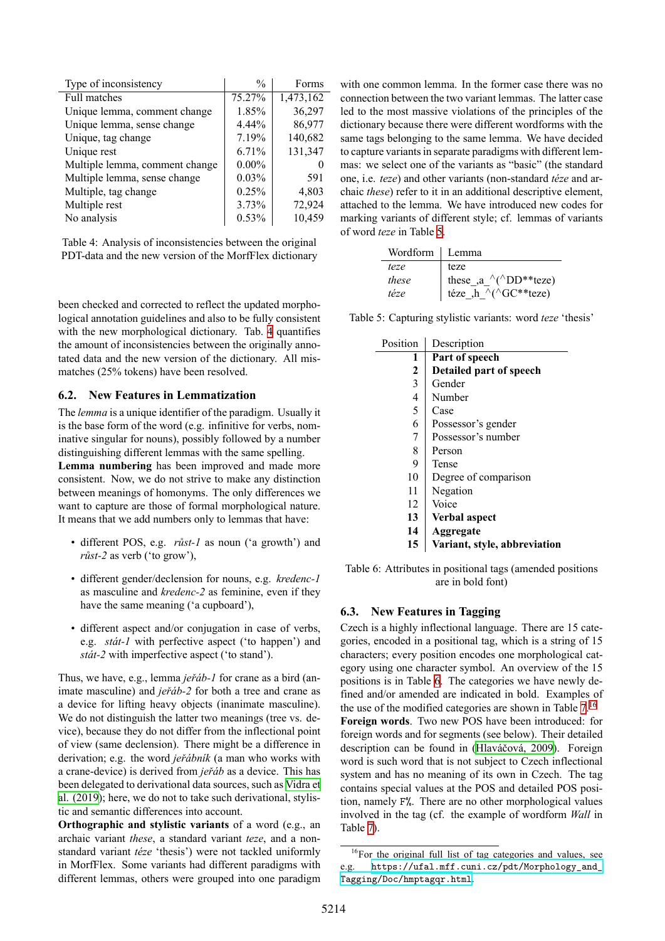<span id="page-6-0"></span>

| Type of inconsistency          | $\frac{0}{0}$ | Forms     |
|--------------------------------|---------------|-----------|
| <b>Full matches</b>            | 75.27%        | 1,473,162 |
| Unique lemma, comment change   | 1.85%         | 36,297    |
| Unique lemma, sense change     | 4.44%         | 86,977    |
| Unique, tag change             | 7.19%         | 140,682   |
| Unique rest                    | 6.71%         | 131,347   |
| Multiple lemma, comment change | $0.00\%$      | $\theta$  |
| Multiple lemma, sense change   | 0.03%         | 591       |
| Multiple, tag change           | 0.25%         | 4,803     |
| Multiple rest                  | 3.73%         | 72,924    |
| No analysis                    | 0.53%         | 10,459    |

Table 4: Analysis of inconsistencies between the original PDT-data and the new version of the MorfFlex dictionary

been checked and corrected to reflect the updated morphological annotation guidelines and also to be fully consistent with the new morphological dictionary. Tab. [4](#page-6-0) quantifies the amount of inconsistencies between the originally annotated data and the new version of the dictionary. All mismatches (25% tokens) have been resolved.

#### **6.2. New Features in Lemmatization**

The *lemma* is a unique identifier of the paradigm. Usually it is the base form of the word (e.g. infinitive for verbs, nominative singular for nouns), possibly followed by a number distinguishing different lemmas with the same spelling.

**Lemma numbering** has been improved and made more consistent. Now, we do not strive to make any distinction between meanings of homonyms. The only differences we want to capture are those of formal morphological nature. It means that we add numbers only to lemmas that have:

- different POS, e.g. *růst-1* as noun ('a growth') and *růst-2* as verb ('to grow'),
- different gender/declension for nouns, e.g. *kredenc-1* as masculine and *kredenc-2* as feminine, even if they have the same meaning ('a cupboard'),
- different aspect and/or conjugation in case of verbs, e.g. *stát-1* with perfective aspect ('to happen') and *stát-2* with imperfective aspect ('to stand').

Thus, we have, e.g., lemma *jeřáb-1* for crane as a bird (animate masculine) and *jeřáb-2* for both a tree and crane as a device for lifting heavy objects (inanimate masculine). We do not distinguish the latter two meanings (tree vs. device), because they do not differ from the inflectional point of view (same declension). There might be a difference in derivation; e.g. the word *jeřábník* (a man who works with a crane-device) is derived from *jeřáb* as a device. This has been delegated to derivational data sources, such as [Vidra et](#page-9-18) [al. \(2019](#page-9-18)); here, we do not to take such derivational, stylistic and semantic differences into account.

**Orthographic and stylistic variants** of a word (e.g., an archaic variant *these*, a standard variant *teze*, and a nonstandard variant *téze* 'thesis') were not tackled uniformly in MorfFlex. Some variants had different paradigms with different lemmas, others were grouped into one paradigm with one common lemma. In the former case there was no connection between the two variant lemmas. The latter case led to the most massive violations of the principles of the dictionary because there were different wordforms with the same tags belonging to the same lemma. We have decided to capture variants in separate paradigms with different lemmas: we select one of the variants as "basic" (the standard one, i.e. *teze*) and other variants (non-standard *téze* and archaic *these*) refer to it in an additional descriptive element, attached to the lemma. We have introduced new codes for marking variants of different style; cf. lemmas of variants of word *teze* in Table [5](#page-6-1).

<span id="page-6-1"></span>

| Wordform   Lemma |                                                   |
|------------------|---------------------------------------------------|
| teze             | teze                                              |
| these            | these ,a $\wedge$ ( $\wedge$ DD**teze)            |
| téze             | téze "h $\bar{\wedge}$ ( $\bar{\wedge}$ GC**teze) |

<span id="page-6-2"></span>Table 5: Capturing stylistic variants: word *teze* 'thesis'

| Position     | Description                  |
|--------------|------------------------------|
| 1            | Part of speech               |
| $\mathbf{2}$ | Detailed part of speech      |
| 3            | Gender                       |
| 4            | Number                       |
| 5            | Case                         |
| 6            | Possessor's gender           |
| 7            | Possessor's number           |
| 8            | Person                       |
| 9            | Tense                        |
| 10           | Degree of comparison         |
| 11           | Negation                     |
| 12           | Voice                        |
| 13           | Verbal aspect                |
| 14           | Aggregate                    |
| 15           | Variant, style, abbreviation |

Table 6: Attributes in positional tags (amended positions are in bold font)

#### **6.3. New Features in Tagging**

Czech is a highly inflectional language. There are 15 categories, encoded in a positional tag, which is a string of 15 characters; every position encodes one morphological category using one character symbol. An overview of the 15 positions is in Table [6](#page-6-2). The categories we have newly defined and/or amended are indicated in bold. Examples of the use of the modified categories are shown in Table  $7<sup>16</sup>$  $7<sup>16</sup>$  $7<sup>16</sup>$ **Foreign words**. Two new POS have been introduced: for foreign words and for segments (see below). Their detailed description can be found in [\(Hlaváčová, 2009](#page-8-22)). Foreign word is such word that is not subject to Czech inflectional system and has no meaning of its own in Czech. The tag contains special values at the POS and detailed POS position, namely F%. There are no other morphological values involved in the tag (cf. the example of wordform *Wall* in Table [7](#page-7-0)).

<span id="page-6-3"></span><sup>&</sup>lt;sup>16</sup>For the original full list of tag categories and values, see e.g. [https://ufal.mff.cuni.cz/pdt/Morphology\\_and\\_](https://ufal.mff.cuni.cz/pdt/Morphology_and_Tagging/Doc/hmptagqr.html) [Tagging/Doc/hmptagqr.html](https://ufal.mff.cuni.cz/pdt/Morphology_and_Tagging/Doc/hmptagqr.html).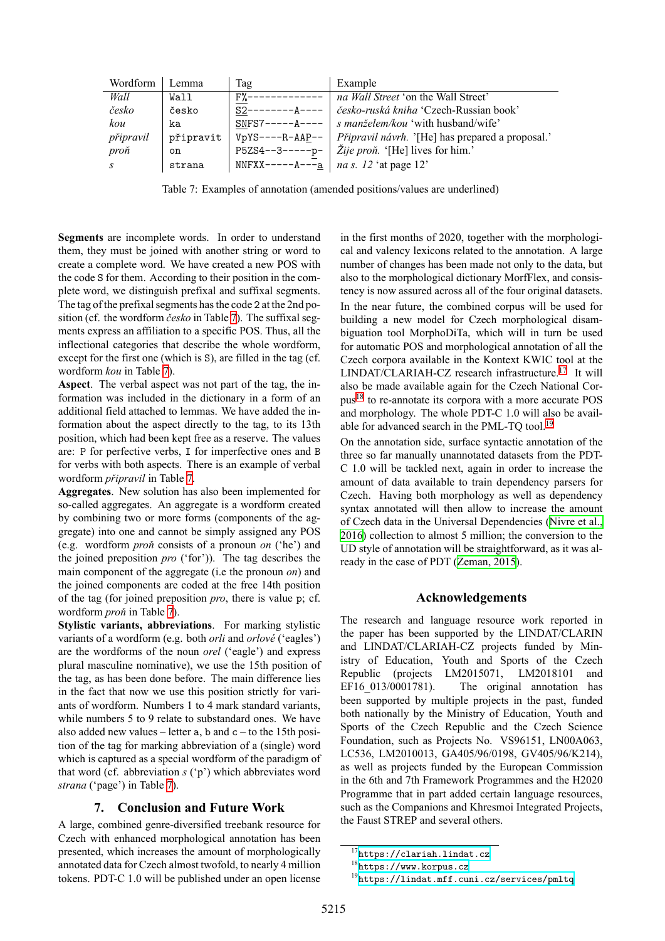<span id="page-7-0"></span>

| Wordform  | Lemma     | Tag                     | Example                                                |
|-----------|-----------|-------------------------|--------------------------------------------------------|
| Wall      | Wall      | $F\%$ -                 | <i>na Wall Street</i> 'on the Wall Street'             |
| česko     | česko     | $S2--$<br>––– A – – – – | česko-ruská kniha 'Czech-Russian book'                 |
| kou       | ka        | $SNFS7---A---A$         | <i>s manželem/kou</i> 'with husband/wife'              |
| připravil | připravit | $VpYS---R-AAP--$        | Připravil návrh. '[He] has prepared a proposal.'       |
| proň      | on        | $P5ZS4--3---p-$         | Zije proň. '[He] lives for him.'                       |
|           | strana    |                         | NNFXX-----A--- <u>a</u>   <i>na s. 12</i> 'at page 12' |

Table 7: Examples of annotation (amended positions/values are underlined)

**Segments** are incomplete words. In order to understand them, they must be joined with another string or word to create a complete word. We have created a new POS with the code S for them. According to their position in the complete word, we distinguish prefixal and suffixal segments. The tag of the prefixal segments has the code 2 at the 2nd position (cf. the wordform *česko* in Table [7\)](#page-7-0). The suffixal segments express an affiliation to a specific POS. Thus, all the inflectional categories that describe the whole wordform, except for the first one (which is S), are filled in the tag (cf. wordform *kou* in Table [7](#page-7-0)).

**Aspect**. The verbal aspect was not part of the tag, the information was included in the dictionary in a form of an additional field attached to lemmas. We have added the information about the aspect directly to the tag, to its 13th position, which had been kept free as a reserve. The values are: P for perfective verbs, I for imperfective ones and B for verbs with both aspects. There is an example of verbal wordform *připravil* in Table [7](#page-7-0).

**Aggregates**. New solution has also been implemented for so-called aggregates. An aggregate is a wordform created by combining two or more forms (components of the aggregate) into one and cannot be simply assigned any POS (e.g. wordform *proň* consists of a pronoun *on* ('he') and the joined preposition *pro* ('for')). The tag describes the main component of the aggregate (i.e the pronoun *on*) and the joined components are coded at the free 14th position of the tag (for joined preposition *pro*, there is value p; cf. wordform *proň* in Table [7](#page-7-0)).

**Stylistic variants, abbreviations**. For marking stylistic variants of a wordform (e.g. both *orli* and *orlové* ('eagles') are the wordforms of the noun *orel* ('eagle') and express plural masculine nominative), we use the 15th position of the tag, as has been done before. The main difference lies in the fact that now we use this position strictly for variants of wordform. Numbers 1 to 4 mark standard variants, while numbers 5 to 9 relate to substandard ones. We have also added new values – letter  $a$ ,  $b$  and  $c -$  to the 15th position of the tag for marking abbreviation of a (single) word which is captured as a special wordform of the paradigm of that word (cf. abbreviation *s* ('p') which abbreviates word *strana* ('page') in Table [7](#page-7-0)).

# **7. Conclusion and Future Work**

A large, combined genre-diversified treebank resource for Czech with enhanced morphological annotation has been presented, which increases the amount of morphologically annotated data for Czech almost twofold, to nearly 4 million tokens. PDT-C 1.0 will be published under an open license in the first months of 2020, together with the morphological and valency lexicons related to the annotation. A large number of changes has been made not only to the data, but also to the morphological dictionary MorfFlex, and consistency is now assured across all of the four original datasets. In the near future, the combined corpus will be used for building a new model for Czech morphological disambiguation tool MorphoDiTa, which will in turn be used for automatic POS and morphological annotation of all the Czech corpora available in the Kontext KWIC tool at the LINDAT/CLARIAH-CZ research infrastructure.<sup>[17](#page-7-1)</sup> It will also be made available again for the Czech National Corpus[18](#page-7-2) to re-annotate its corpora with a more accurate POS and morphology. The whole PDT-C 1.0 will also be avail-able for advanced search in the PML-TO tool.<sup>[19](#page-7-3)</sup>

On the annotation side, surface syntactic annotation of the three so far manually unannotated datasets from the PDT-C 1.0 will be tackled next, again in order to increase the amount of data available to train dependency parsers for Czech. Having both morphology as well as dependency syntax annotated will then allow to increase the amount of Czech data in the Universal Dependencies [\(Nivre et al.,](#page-9-19) [2016\)](#page-9-19) collection to almost 5 million; the conversion to the UD style of annotation will be straightforward, as it was already in the case of PDT [\(Zeman, 2015](#page-9-20)).

# **Acknowledgements**

The research and language resource work reported in the paper has been supported by the LINDAT/CLARIN and LINDAT/CLARIAH-CZ projects funded by Ministry of Education, Youth and Sports of the Czech Republic (projects LM2015071, LM2018101 and EF16 013/0001781). The original annotation has been supported by multiple projects in the past, funded both nationally by the Ministry of Education, Youth and Sports of the Czech Republic and the Czech Science Foundation, such as Projects No. VS96151, LN00A063, LC536, LM2010013, GA405/96/0198, GV405/96/K214), as well as projects funded by the European Commission in the 6th and 7th Framework Programmes and the H2020 Programme that in part added certain language resources, such as the Companions and Khresmoi Integrated Projects, the Faust STREP and several others.

<span id="page-7-1"></span><sup>17</sup><https://clariah.lindat.cz>

<span id="page-7-2"></span><sup>18</sup><https://www.korpus.cz>

<span id="page-7-3"></span> $^{19}$  <br><https://lindat.mff.cuni.cz/services/pmltq>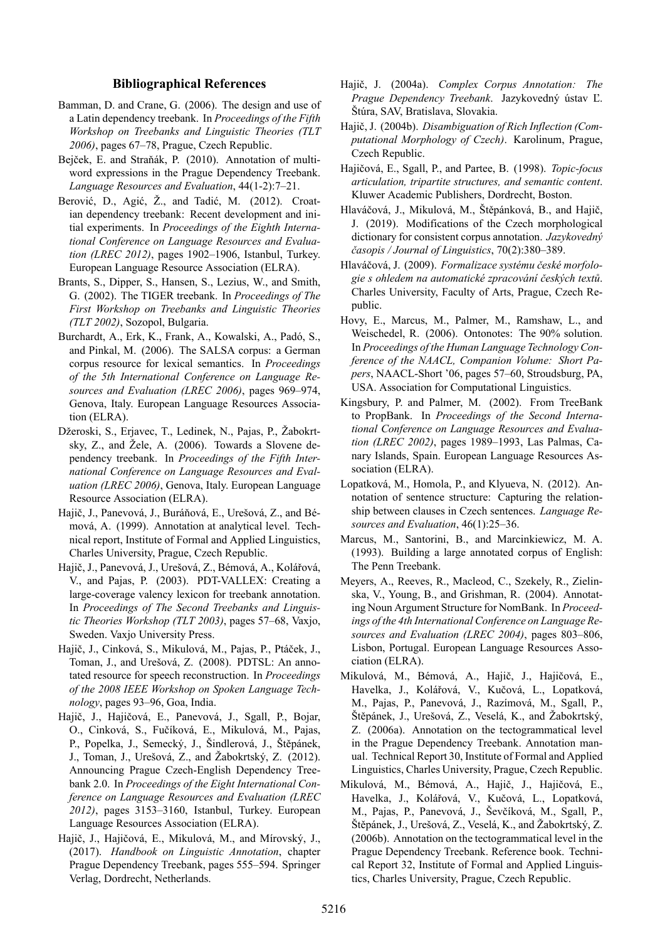#### **Bibliographical References**

- <span id="page-8-9"></span>Bamman, D. and Crane, G. (2006). The design and use of a Latin dependency treebank. In *Proceedings of the Fifth Workshop on Treebanks and Linguistic Theories (TLT 2006)*, pages 67–78, Prague, Czech Republic.
- <span id="page-8-18"></span>Bejček, E. and Straňák, P. (2010). Annotation of multiword expressions in the Prague Dependency Treebank. *Language Resources and Evaluation*, 44(1-2):7–21.
- <span id="page-8-8"></span>Berović, D., Agić, Ž., and Tadić, M. (2012). Croatian dependency treebank: Recent development and initial experiments. In *Proceedings of the Eighth International Conference on Language Resources and Evaluation (LREC 2012)*, pages 1902–1906, Istanbul, Turkey. European Language Resource Association (ELRA).
- <span id="page-8-5"></span>Brants, S., Dipper, S., Hansen, S., Lezius, W., and Smith, G. (2002). The TIGER treebank. In *Proceedings of The First Workshop on Treebanks and Linguistic Theories (TLT 2002)*, Sozopol, Bulgaria.
- <span id="page-8-6"></span>Burchardt, A., Erk, K., Frank, A., Kowalski, A., Padó, S., and Pinkal, M. (2006). The SALSA corpus: a German corpus resource for lexical semantics. In *Proceedings of the 5th International Conference on Language Resources and Evaluation (LREC 2006)*, pages 969–974, Genova, Italy. European Language Resources Association (ELRA).
- <span id="page-8-7"></span>Džeroski, S., Erjavec, T., Ledinek, N., Pajas, P., Žabokrtsky, Z., and Žele, A. (2006). Towards a Slovene dependency treebank. In *Proceedings of the Fifth International Conference on Language Resources and Evaluation (LREC 2006)*, Genova, Italy. European Language Resource Association (ELRA).
- <span id="page-8-12"></span>Hajič, J., Panevová, J., Buráňová, E., Urešová, Z., and Bémová, A. (1999). Annotation at analytical level. Technical report, Institute of Formal and Applied Linguistics, Charles University, Prague, Czech Republic.
- <span id="page-8-16"></span>Hajič, J., Panevová, J., Urešová, Z., Bémová, A., Kolářová, V., and Pajas, P. (2003). PDT-VALLEX: Creating a large-coverage valency lexicon for treebank annotation. In *Proceedings of The Second Treebanks and Linguistic Theories Workshop (TLT 2003)*, pages 57–68, Vaxjo, Sweden. Vaxjo University Press.
- <span id="page-8-11"></span>Hajič, J., Cinková, S., Mikulová, M., Pajas, P., Ptáček, J., Toman, J., and Urešová, Z. (2008). PDTSL: An annotated resource for speech reconstruction. In *Proceedings of the 2008 IEEE Workshop on Spoken Language Technology*, pages 93–96, Goa, India.
- <span id="page-8-10"></span>Hajič, J., Hajičová, E., Panevová, J., Sgall, P., Bojar, O., Cinková, S., Fučíková, E., Mikulová, M., Pajas, P., Popelka, J., Semecký, J., Šindlerová, J., Štěpánek, J., Toman, J., Urešová, Z., and Žabokrtský, Z. (2012). Announcing Prague Czech-English Dependency Treebank 2.0. In *Proceedings of the Eight International Conference on Language Resources and Evaluation (LREC 2012)*, pages 3153–3160, Istanbul, Turkey. European Language Resources Association (ELRA).
- <span id="page-8-0"></span>Hajič, J., Hajičová, E., Mikulová, M., and Mírovský, J., (2017). *Handbook on Linguistic Annotation*, chapter Prague Dependency Treebank, pages 555–594. Springer Verlag, Dordrecht, Netherlands.
- <span id="page-8-21"></span>Hajič, J. (2004a). *Complex Corpus Annotation: The Prague Dependency Treebank*. Jazykovedný ústav Ľ. Štúra, SAV, Bratislava, Slovakia.
- <span id="page-8-19"></span>Hajič, J. (2004b). *Disambiguation of Rich Inflection (Computational Morphology of Czech)*. Karolinum, Prague, Czech Republic.
- <span id="page-8-17"></span>Hajičová, E., Sgall, P., and Partee, B. (1998). *Topic-focus articulation, tripartite structures, and semantic content*. Kluwer Academic Publishers, Dordrecht, Boston.
- <span id="page-8-20"></span>Hlaváčová, J., Mikulová, M., Štěpánková, B., and Hajič, J. (2019). Modifications of the Czech morphological dictionary for consistent corpus annotation. *Jazykovedný časopis / Journal of Linguistics*, 70(2):380–389.
- <span id="page-8-22"></span>Hlaváčová, J. (2009). *Formalizace systému české morfologie s ohledem na automatické zpracování českých textů*. Charles University, Faculty of Arts, Prague, Czech Republic.
- <span id="page-8-4"></span>Hovy, E., Marcus, M., Palmer, M., Ramshaw, L., and Weischedel, R. (2006). Ontonotes: The 90% solution. In *Proceedings of the Human Language Technology Conference of the NAACL, Companion Volume: Short Papers*, NAACL-Short '06, pages 57–60, Stroudsburg, PA, USA. Association for Computational Linguistics.
- <span id="page-8-2"></span>Kingsbury, P. and Palmer, M. (2002). From TreeBank to PropBank. In *Proceedings of the Second International Conference on Language Resources and Evaluation (LREC 2002)*, pages 1989–1993, Las Palmas, Canary Islands, Spain. European Language Resources Association (ELRA).
- <span id="page-8-13"></span>Lopatková, M., Homola, P., and Klyueva, N. (2012). Annotation of sentence structure: Capturing the relationship between clauses in Czech sentences. *Language Resources and Evaluation*, 46(1):25–36.
- <span id="page-8-1"></span>Marcus, M., Santorini, B., and Marcinkiewicz, M. A. (1993). Building a large annotated corpus of English: The Penn Treebank.
- <span id="page-8-3"></span>Meyers, A., Reeves, R., Macleod, C., Szekely, R., Zielinska, V., Young, B., and Grishman, R. (2004). Annotating Noun Argument Structure for NomBank. In *Proceedings of the 4th International Conference on Language Resources and Evaluation (LREC 2004)*, pages 803–806, Lisbon, Portugal. European Language Resources Association (ELRA).
- <span id="page-8-14"></span>Mikulová, M., Bémová, A., Hajič, J., Hajičová, E., Havelka, J., Kolářová, V., Kučová, L., Lopatková, M., Pajas, P., Panevová, J., Razímová, M., Sgall, P., Štěpánek, J., Urešová, Z., Veselá, K., and Žabokrtský, Z. (2006a). Annotation on the tectogrammatical level in the Prague Dependency Treebank. Annotation manual. Technical Report 30, Institute of Formal and Applied Linguistics, Charles University, Prague, Czech Republic.
- <span id="page-8-15"></span>Mikulová, M., Bémová, A., Hajič, J., Hajičová, E., Havelka, J., Kolářová, V., Kučová, L., Lopatková, M., Pajas, P., Panevová, J., Ševčíková, M., Sgall, P., Štěpánek, J., Urešová, Z., Veselá, K., and Žabokrtský, Z. (2006b). Annotation on the tectogrammatical level in the Prague Dependency Treebank. Reference book. Technical Report 32, Institute of Formal and Applied Linguistics, Charles University, Prague, Czech Republic.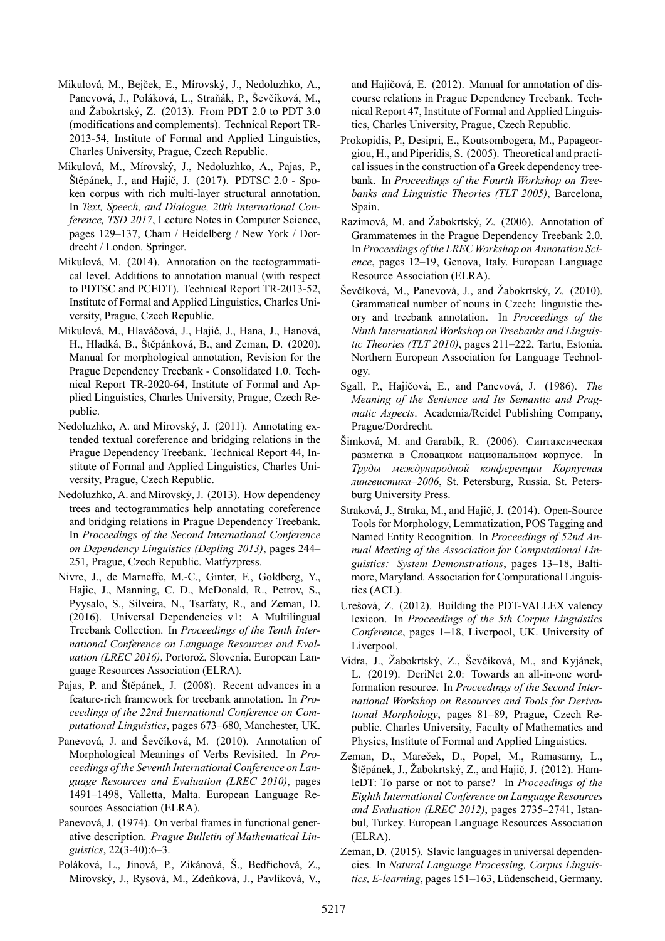- <span id="page-9-7"></span>Mikulová, M., Bejček, E., Mírovský, J., Nedoluzhko, A., Panevová, J., Poláková, L., Straňák, P., Ševčíková, M., and Žabokrtský, Z. (2013). From PDT 2.0 to PDT 3.0 (modifications and complements). Technical Report TR-2013-54, Institute of Formal and Applied Linguistics, Charles University, Prague, Czech Republic.
- <span id="page-9-5"></span>Mikulová, M., Mírovský, J., Nedoluzhko, A., Pajas, P., Štěpánek, J., and Hajič, J. (2017). PDTSC 2.0 - Spoken corpus with rich multi-layer structural annotation. In *Text, Speech, and Dialogue, 20th International Conference, TSD 2017*, Lecture Notes in Computer Science, pages 129–137, Cham / Heidelberg / New York / Dordrecht / London. Springer.
- <span id="page-9-8"></span>Mikulová, M. (2014). Annotation on the tectogrammatical level. Additions to annotation manual (with respect to PDTSC and PCEDT). Technical Report TR-2013-52, Institute of Formal and Applied Linguistics, Charles University, Prague, Czech Republic.
- <span id="page-9-6"></span>Mikulová, M., Hlaváčová, J., Hajič, J., Hana, J., Hanová, H., Hladká, B., Štěpánková, B., and Zeman, D. (2020). Manual for morphological annotation, Revision for the Prague Dependency Treebank - Consolidated 1.0. Technical Report TR-2020-64, Institute of Formal and Applied Linguistics, Charles University, Prague, Czech Republic.
- <span id="page-9-14"></span>Nedoluzhko, A. and Mírovský, J. (2011). Annotating extended textual coreference and bridging relations in the Prague Dependency Treebank. Technical Report 44, Institute of Formal and Applied Linguistics, Charles University, Prague, Czech Republic.
- <span id="page-9-15"></span>Nedoluzhko, A. and Mírovský, J. (2013). How dependency trees and tectogrammatics help annotating coreference and bridging relations in Prague Dependency Treebank. In *Proceedings of the Second International Conference on Dependency Linguistics (Depling 2013)*, pages 244– 251, Prague, Czech Republic. Matfyzpress.
- <span id="page-9-19"></span>Nivre, J., de Marneffe, M.-C., Ginter, F., Goldberg, Y., Hajic, J., Manning, C. D., McDonald, R., Petrov, S., Pyysalo, S., Silveira, N., Tsarfaty, R., and Zeman, D. (2016). Universal Dependencies v1: A Multilingual Treebank Collection. In *Proceedings of the Tenth International Conference on Language Resources and Evaluation (LREC 2016)*, Portorož, Slovenia. European Language Resources Association (ELRA).
- <span id="page-9-4"></span>Pajas, P. and Štěpánek, J. (2008). Recent advances in a feature-rich framework for treebank annotation. In *Proceedings of the 22nd International Conference on Computational Linguistics*, pages 673–680, Manchester, UK.
- <span id="page-9-12"></span>Panevová, J. and Ševčíková, M. (2010). Annotation of Morphological Meanings of Verbs Revisited. In *Proceedings of the Seventh International Conference on Language Resources and Evaluation (LREC 2010)*, pages 1491–1498, Valletta, Malta. European Language Resources Association (ELRA).
- <span id="page-9-9"></span>Panevová, J. (1974). On verbal frames in functional generative description. *Prague Bulletin of Mathematical Linguistics*, 22(3-40):6–3.
- <span id="page-9-16"></span>Poláková, L., Jínová, P., Zikánová, Š., Bedřichová, Z., Mírovský, J., Rysová, M., Zdeňková, J., Pavlíková, V.,

and Hajičová, E. (2012). Manual for annotation of discourse relations in Prague Dependency Treebank. Technical Report 47, Institute of Formal and Applied Linguistics, Charles University, Prague, Czech Republic.

- <span id="page-9-2"></span>Prokopidis, P., Desipri, E., Koutsombogera, M., Papageorgiou, H., and Piperidis, S. (2005). Theoretical and practical issues in the construction of a Greek dependency treebank. In *Proceedings of the Fourth Workshop on Treebanks and Linguistic Theories (TLT 2005)*, Barcelona, Spain.
- <span id="page-9-11"></span>Razímová, M. and Žabokrtský, Z. (2006). Annotation of Grammatemes in the Prague Dependency Treebank 2.0. In *Proceedings of the LREC Workshop on Annotation Science*, pages 12–19, Genova, Italy. European Language Resource Association (ELRA).
- <span id="page-9-13"></span>Ševčíková, M., Panevová, J., and Žabokrtský, Z. (2010). Grammatical number of nouns in Czech: linguistic theory and treebank annotation. In *Proceedings of the Ninth International Workshop on Treebanks and Linguistic Theories (TLT 2010)*, pages 211–222, Tartu, Estonia. Northern European Association for Language Technology.
- <span id="page-9-0"></span>Sgall, P., Hajičová, E., and Panevová, J. (1986). *The Meaning of the Sentence and Its Semantic and Pragmatic Aspects*. Academia/Reidel Publishing Company, Prague/Dordrecht.
- <span id="page-9-3"></span>Šimková, M. and Garabík, R. (2006). Синтаксическая разметка в Словацком национальном корпусе. In *Tруды международной конференции Корпусная лингвистика–2006*, St. Petersburg, Russia. St. Petersburg University Press.
- <span id="page-9-17"></span>Straková, J., Straka, M., and Hajič, J. (2014). Open-Source Tools for Morphology, Lemmatization, POS Tagging and Named Entity Recognition. In *Proceedings of 52nd Annual Meeting of the Association for Computational Linguistics: System Demonstrations*, pages 13–18, Baltimore, Maryland. Association for Computational Linguistics (ACL).
- <span id="page-9-10"></span>Urešová, Z. (2012). Building the PDT-VALLEX valency lexicon. In *Proceedings of the 5th Corpus Linguistics Conference*, pages 1–18, Liverpool, UK. University of Liverpool.
- <span id="page-9-18"></span>Vidra, J., Žabokrtský, Z., Ševčíková, M., and Kyjánek, L. (2019). DeriNet 2.0: Towards an all-in-one wordformation resource. In *Proceedings of the Second International Workshop on Resources and Tools for Derivational Morphology*, pages 81–89, Prague, Czech Republic. Charles University, Faculty of Mathematics and Physics, Institute of Formal and Applied Linguistics.
- <span id="page-9-1"></span>Zeman, D., Mareček, D., Popel, M., Ramasamy, L., Štěpánek, J., Žabokrtský, Z., and Hajič, J. (2012). HamleDT: To parse or not to parse? In *Proceedings of the Eighth International Conference on Language Resources and Evaluation (LREC 2012)*, pages 2735–2741, Istanbul, Turkey. European Language Resources Association (ELRA).
- <span id="page-9-20"></span>Zeman, D. (2015). Slavic languages in universal dependencies. In *Natural Language Processing, Corpus Linguistics, E-learning*, pages 151–163, Lüdenscheid, Germany.